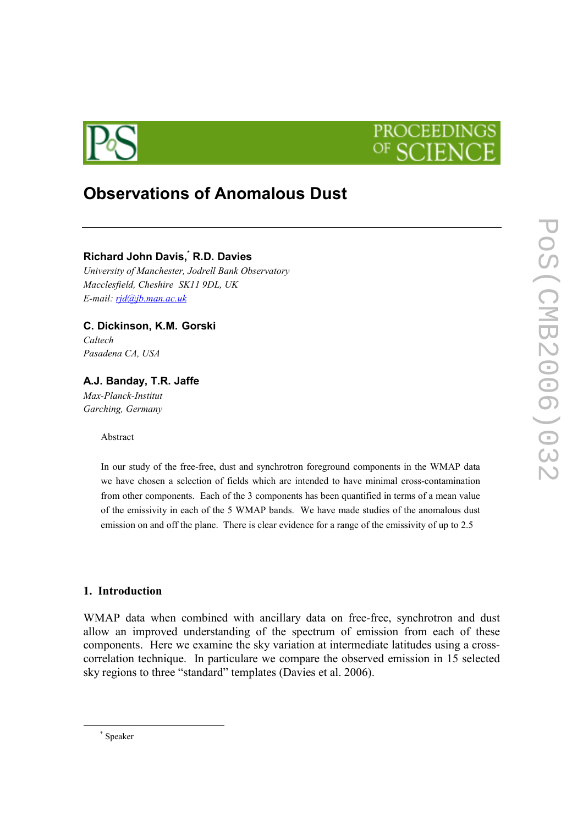



# Observations of Anomalous Dust

## Richard John Davis, R.D. Davies

University of Manchester, Jodrell Bank Observatory Macclesfield, Cheshire SK11 9DL, UK E-mail: rjd@jb.man.ac.uk

C. Dickinson, K.M. Gorski

Caltech Pasadena CA, USA

A.J. Banday, T.R. Jaffe Max-Planck-Institut Garching, Germany

Abstract

In our study of the free-free, dust and synchrotron foreground components in the WMAP data we have chosen a selection of fields which are intended to have minimal cross-contamination from other components. Each of the 3 components has been quantified in terms of a mean value of the emissivity in each of the 5 WMAP bands. We have made studies of the anomalous dust emission on and off the plane. There is clear evidence for a range of the emissivity of up to 2.5

#### 1. Introduction

WMAP data when combined with ancillary data on free-free, synchrotron and dust allow an improved understanding of the spectrum of emission from each of these components. Here we examine the sky variation at intermediate latitudes using a crosscorrelation technique. In particulare we compare the observed emission in 15 selected sky regions to three "standard" templates (Davies et al. 2006).

 $\overline{a}$ 

<sup>\*</sup> Speaker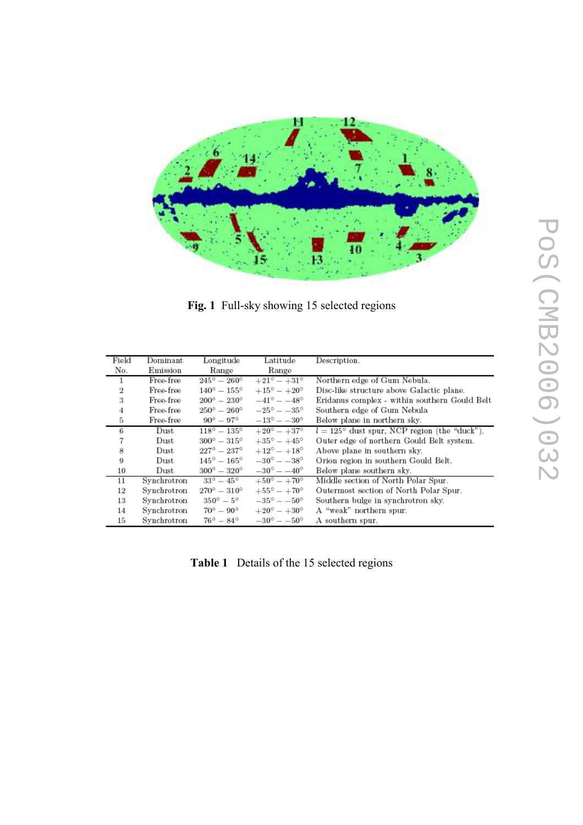

Fig. 1 Full-sky showing 15 selected regions

| Field | Dominant    | Longitude                   | Latitude                    | Description.                                          |
|-------|-------------|-----------------------------|-----------------------------|-------------------------------------------------------|
| No.   | Emission    | Range                       | Range                       |                                                       |
| 1     | Free-free   | $245^{\circ} - 260^{\circ}$ | $+21^{\circ} - +31^{\circ}$ | Northern edge of Gum Nebula.                          |
| 2     | Free-free   | $140^{\circ} - 155^{\circ}$ | $+15^{\circ} - +20^{\circ}$ | Disc-like structure above Galactic plane.             |
| 3     | Free-free   | $200^{\circ} - 230^{\circ}$ | $-41^{\circ} - -48^{\circ}$ | Eridanus complex - within southern Gould Belt         |
| 4     | Free-free   | $250^{\circ} - 260^{\circ}$ | $-25^{\circ} - -35^{\circ}$ | Southern edge of Gum Nebula                           |
| 5     | Free-free   | $90^{\circ} - 97^{\circ}$   | $-13^{\circ} - -30^{\circ}$ | Below plane in northern sky.                          |
| 6     | Dust        | $118^{\circ} - 135^{\circ}$ | $+20^{\circ} - +37^{\circ}$ | $l = 125^{\circ}$ dust spur, NCP region (the "duck"). |
|       | Dust        | $300^{\circ} - 315^{\circ}$ | $+35^{\circ} - +45^{\circ}$ | Outer edge of northern Gould Belt system.             |
| 8     | Dust        | $227^{\circ}-237^{\circ}$   | $+12^{\circ} - +18^{\circ}$ | Above plane in southern sky.                          |
| 9     | Dust        | $145^{\circ} - 165^{\circ}$ | $-30^{\circ} - -38^{\circ}$ | Orion region in southern Gould Belt.                  |
| 10    | Dust        | $300^{\circ} - 320^{\circ}$ | $-30^{\circ} - -40^{\circ}$ | Below plane southern sky.                             |
| 11    | Synchrotron | $33^{\circ} - 45^{\circ}$   | $+50^{\circ} - +70^{\circ}$ | Middle section of North Polar Spur.                   |
| 12    | Synchrotron | $270^{\circ} - 310^{\circ}$ | $+55^{\circ} - +70^{\circ}$ | Outermost section of North Polar Spur.                |
| 13    | Synchrotron | $350^{\circ} - 5^{\circ}$   | $-35^{\circ} - -50^{\circ}$ | Southern bulge in synchrotron sky.                    |
| 14    | Synchrotron | $70^{\circ} - 90^{\circ}$   | $+20^{\circ} - +30^{\circ}$ | A "weak" northern spur.                               |
| 15    | Synchrotron | $76^{\circ} - 84^{\circ}$   | $-30^{\circ} - -50^{\circ}$ | A southern spur.                                      |

Table 1 Details of the 15 selected regions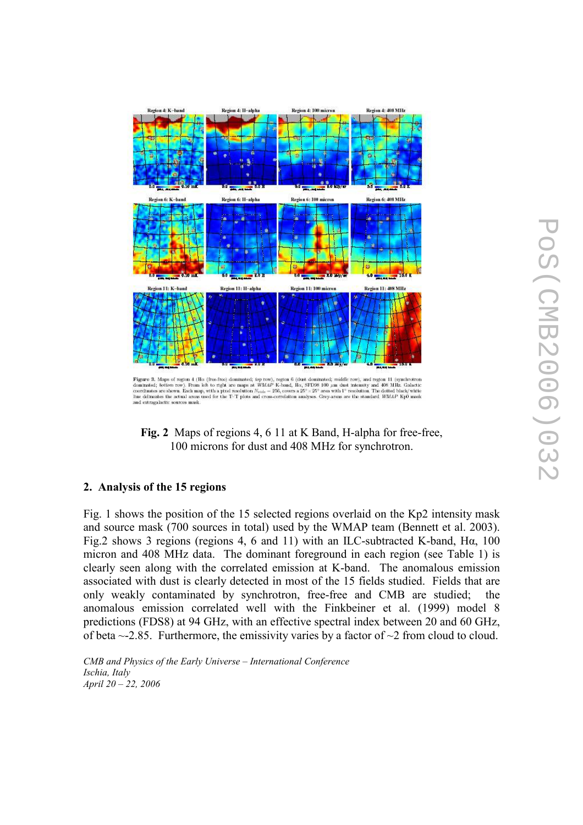



## 2. Analysis of the 15 regions

Fig. 1 shows the position of the 15 selected regions overlaid on the Kp2 intensity mask and source mask (700 sources in total) used by the WMAP team (Bennett et al. 2003). Fig.2 shows 3 regions (regions 4, 6 and 11) with an ILC-subtracted K-band, Hα, 100 micron and 408 MHz data. The dominant foreground in each region (see Table 1) is clearly seen along with the correlated emission at K-band. The anomalous emission associated with dust is clearly detected in most of the 15 fields studied. Fields that are only weakly contaminated by synchrotron, free-free and CMB are studied; the anomalous emission correlated well with the Finkbeiner et al. (1999) model 8 predictions (FDS8) at 94 GHz, with an effective spectral index between 20 and 60 GHz, of beta  $\sim$ -2.85. Furthermore, the emissivity varies by a factor of  $\sim$ 2 from cloud to cloud.

CMB and Physics of the Early Universe – International Conference Ischia, Italy April 20 – 22, 2006